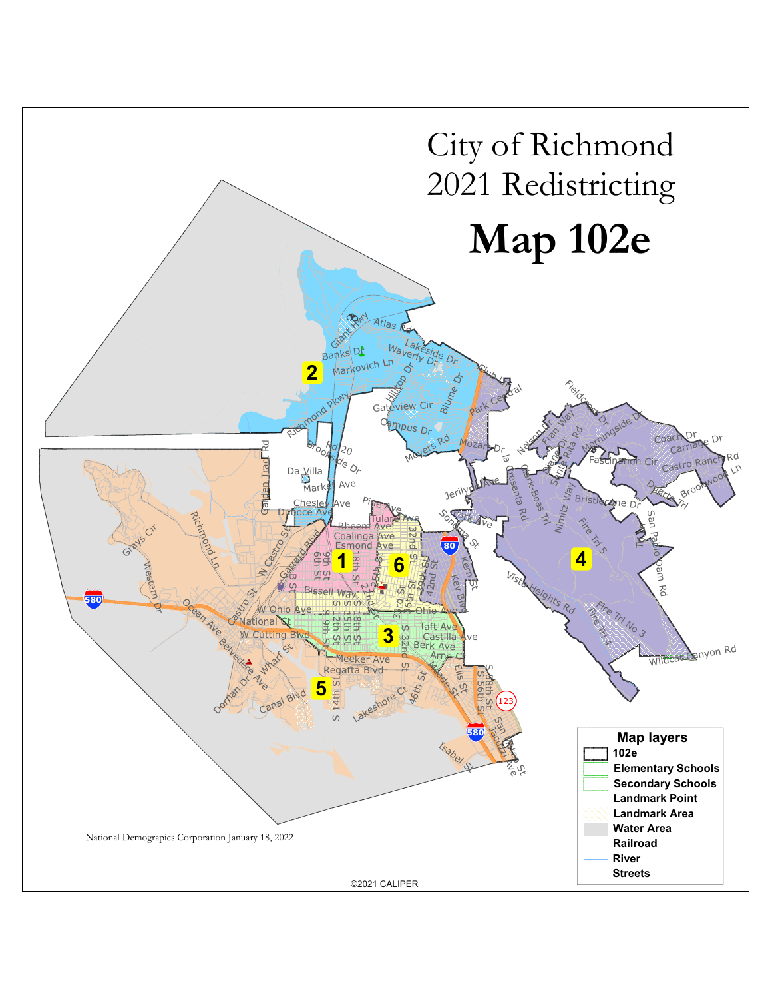